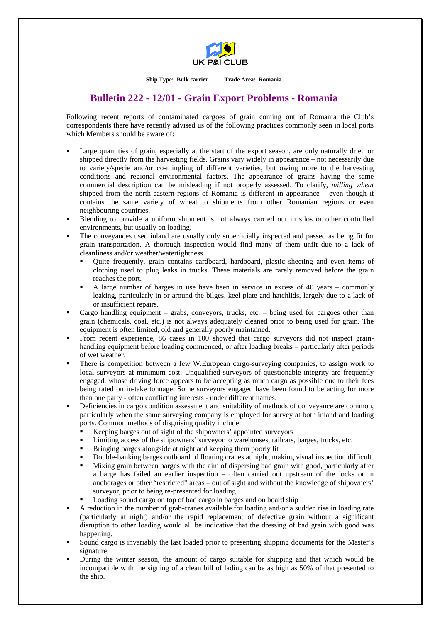

**Ship Type: Bulk carrier Trade Area: Romania** 

## **Bulletin 222 - 12/01 - Grain Export Problems - Romania**

Following recent reports of contaminated cargoes of grain coming out of Romania the Club's correspondents there have recently advised us of the following practices commonly seen in local ports which Members should be aware of:

- Large quantities of grain, especially at the start of the export season, are only naturally dried or shipped directly from the harvesting fields. Grains vary widely in appearance – not necessarily due to variety/specie and/or co-mingling of different varieties, but owing more to the harvesting conditions and regional environmental factors. The appearance of grains having the same commercial description can be misleading if not properly assessed. To clarify, *milling wheat* shipped from the north-eastern regions of Romania is different in appearance – even though it contains the same variety of wheat to shipments from other Romanian regions or even neighbouring countries.
- Blending to provide a uniform shipment is not always carried out in silos or other controlled environments, but usually on loading.
- The conveyances used inland are usually only superficially inspected and passed as being fit for grain transportation. A thorough inspection would find many of them unfit due to a lack of cleanliness and/or weather/watertightness.
	- Quite frequently, grain contains cardboard, hardboard, plastic sheeting and even items of clothing used to plug leaks in trucks. These materials are rarely removed before the grain reaches the port.
	- A large number of barges in use have been in service in excess of 40 years commonly leaking, particularly in or around the bilges, keel plate and hatchlids, largely due to a lack of or insufficient repairs.
- Cargo handling equipment grabs, conveyors, trucks, etc. being used for cargoes other than grain (chemicals, coal, etc.) is not always adequately cleaned prior to being used for grain. The equipment is often limited, old and generally poorly maintained.
- From recent experience, 86 cases in 100 showed that cargo surveyors did not inspect grainhandling equipment before loading commenced, or after loading breaks – particularly after periods of wet weather.
- There is competition between a few W.European cargo-surveying companies, to assign work to local surveyors at minimum cost. Unqualified surveyors of questionable integrity are frequently engaged, whose driving force appears to be accepting as much cargo as possible due to their fees being rated on in-take tonnage. Some surveyors engaged have been found to be acting for more than one party - often conflicting interests - under different names.
- Deficiencies in cargo condition assessment and suitability of methods of conveyance are common, particularly when the same surveying company is employed for survey at both inland and loading ports. Common methods of disguising quality include:
	- Keeping barges out of sight of the shipowners' appointed surveyors
	- Limiting access of the shipowners' surveyor to warehouses, railcars, barges, trucks, etc.
	- Bringing barges alongside at night and keeping them poorly lit
	- Double-banking barges outboard of floating cranes at night, making visual inspection difficult
	- Mixing grain between barges with the aim of dispersing bad grain with good, particularly after a barge has failed an earlier inspection – often carried out upstream of the locks or in anchorages or other "restricted" areas – out of sight and without the knowledge of shipowners' surveyor, prior to being re-presented for loading
	- Loading sound cargo on top of bad cargo in barges and on board ship
- A reduction in the number of grab-cranes available for loading and/or a sudden rise in loading rate (particularly at night) and/or the rapid replacement of defective grain without a significant disruption to other loading would all be indicative that the dressing of bad grain with good was happening.
- Sound cargo is invariably the last loaded prior to presenting shipping documents for the Master's signature.
- During the winter season, the amount of cargo suitable for shipping and that which would be incompatible with the signing of a clean bill of lading can be as high as 50% of that presented to the ship.